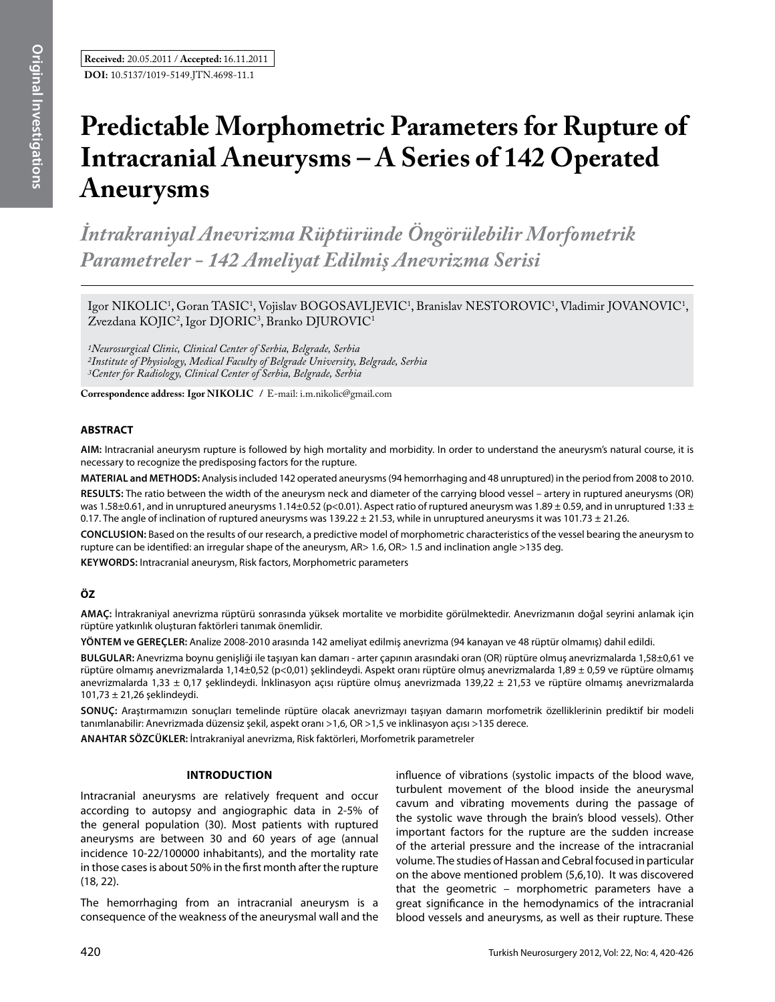# **Predictable Morphometric Parameters for Rupture of Intracranial Aneurysms – A Series of 142 Operated Aneurysms**

*İntrakraniyal Anevrizma Rüptüründe Öngörülebilir Morfometrik Parametreler - 142 Ameliyat Edilmiş Anevrizma Serisi* 

Igor NIKOLIC<sup>1</sup>, Goran TASIC<sup>1</sup>, Vojislav BOGOSAVLJEVIC<sup>1</sup>, Branislav NESTOROVIC<sup>1</sup>, Vladimir JOVANOVIC<sup>1</sup>,  $Z$ vezdana KOJIC<sup>2</sup>, Igor DJORIC<sup>3</sup>, Branko DJUROVIC<sup>1</sup>

*1Neurosurgical Clinic, Clinical Center of Serbia, Belgrade, Serbia 2Institute of Physiology, Medical Faculty of Belgrade University, Belgrade, Serbia 3Center for Radiology, Clinical Center of Serbia, Belgrade, Serbia*

**Correspondence address: Igor Nıkolıc /** E-mail: i.m.nikolic@gmail.com

# **ABSTRACT**

**AIm:** Intracranial aneurysm rupture is followed by high mortality and morbidity. In order to understand the aneurysm's natural course, it is necessary to recognize the predisposing factors for the rupture.

**MaterIal and Methods:** Analysis included 142 operated aneurysms (94 hemorrhaging and 48 unruptured) in the period from 2008 to 2010.

**Results:** The ratio between the width of the aneurysm neck and diameter of the carrying blood vessel – artery in ruptured aneurysms (OR) was 1.58±0.61, and in unruptured aneurysms 1.14±0.52 (p<0.01). Aspect ratio of ruptured aneurysm was 1.89 ± 0.59, and in unruptured 1:33 ± 0.17. The angle of inclination of ruptured aneurysms was  $139.22 \pm 21.53$ , while in unruptured aneurysms it was  $101.73 \pm 21.26$ .

**ConclusIon:** Based on the results of our research, a predictive model of morphometric characteristics of the vessel bearing the aneurysm to rupture can be identified: an irregular shape of the aneurysm, AR> 1.6, OR> 1.5 and inclination angle >135 deg.

**Keywords:** Intracranial aneurysm, Risk factors, Morphometric parameters

# **ÖZ**

**AMAÇ:** İntrakraniyal anevrizma rüptürü sonrasında yüksek mortalite ve morbidite görülmektedir. Anevrizmanın doğal seyrini anlamak için rüptüre yatkınlık oluşturan faktörleri tanımak önemlidir.

**YÖNTEM ve GEREÇLER:** Analize 2008-2010 arasında 142 ameliyat edilmiş anevrizma (94 kanayan ve 48 rüptür olmamış) dahil edildi.

**BULGULAR:** Anevrizma boynu genişliği ile taşıyan kan damarı - arter çapının arasındaki oran (OR) rüptüre olmuş anevrizmalarda 1,58±0,61 ve rüptüre olmamış anevrizmalarda 1,14±0,52 (p<0,01) şeklindeydi. Aspekt oranı rüptüre olmuş anevrizmalarda 1,89 ± 0,59 ve rüptüre olmamış anevrizmalarda 1,33 ± 0,17 şeklindeydi. İnklinasyon açısı rüptüre olmuş anevrizmada 139,22 ± 21,53 ve rüptüre olmamış anevrizmalarda 101,73 ± 21,26 şeklindeydi.

**SONUÇ:** Araştırmamızın sonuçları temelinde rüptüre olacak anevrizmayı taşıyan damarın morfometrik özelliklerinin prediktif bir modeli tanımlanabilir: Anevrizmada düzensiz şekil, aspekt oranı >1,6, OR >1,5 ve inklinasyon açısı >135 derece.

**ANAHTAR SÖZCÜKLER:** İntrakraniyal anevrizma, Risk faktörleri, Morfometrik parametreler

## **Introduction**

Intracranial aneurysms are relatively frequent and occur according to autopsy and angiographic data in 2-5% of the general population (30). Most patients with ruptured aneurysms are between 30 and 60 years of age (annual incidence 10-22/100000 inhabitants), and the mortality rate in those cases is about 50% in the first month after the rupture (18, 22).

The hemorrhaging from an intracranial aneurysm is a consequence of the weakness of the aneurysmal wall and the influence of vibrations (systolic impacts of the blood wave, turbulent movement of the blood inside the aneurysmal cavum and vibrating movements during the passage of the systolic wave through the brain's blood vessels). Other important factors for the rupture are the sudden increase of the arterial pressure and the increase of the intracranial volume. The studies of Hassan and Cebral focused in particular on the above mentioned problem (5,6,10). It was discovered that the geometric – morphometric parameters have a great significance in the hemodynamics of the intracranial blood vessels and aneurysms, as well as their rupture. These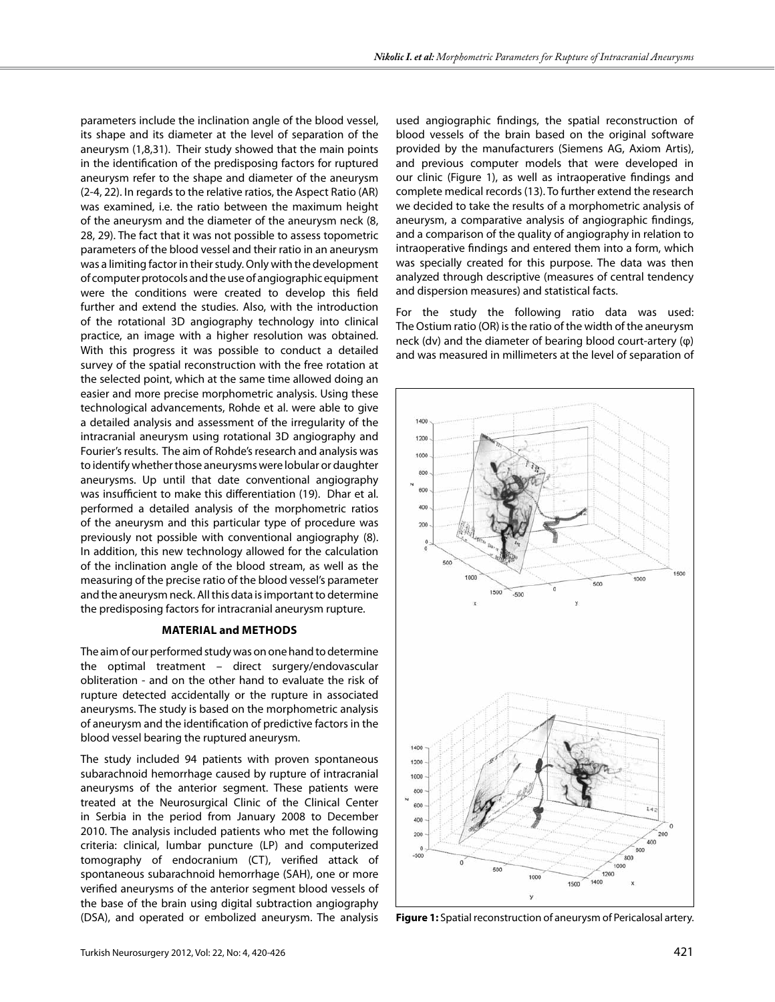parameters include the inclination angle of the blood vessel, its shape and its diameter at the level of separation of the aneurysm (1,8,31). Their study showed that the main points in the identification of the predisposing factors for ruptured aneurysm refer to the shape and diameter of the aneurysm (2-4, 22). In regards to the relative ratios, the Aspect Ratio (AR) was examined, i.e. the ratio between the maximum height of the aneurysm and the diameter of the aneurysm neck (8, 28, 29). The fact that it was not possible to assess topometric parameters of the blood vessel and their ratio in an aneurysm was a limiting factor in their study. Only with the development of computer protocols and the use of angiographic equipment were the conditions were created to develop this field further and extend the studies. Also, with the introduction of the rotational 3D angiography technology into clinical practice, an image with a higher resolution was obtained. With this progress it was possible to conduct a detailed survey of the spatial reconstruction with the free rotation at the selected point, which at the same time allowed doing an easier and more precise morphometric analysis. Using these technological advancements, Rohde et al. were able to give a detailed analysis and assessment of the irregularity of the intracranial aneurysm using rotational 3D angiography and Fourier's results. The aim of Rohde's research and analysis was to identify whether those aneurysms were lobular or daughter aneurysms. Up until that date conventional angiography was insufficient to make this differentiation (19). Dhar et al. performed a detailed analysis of the morphometric ratios of the aneurysm and this particular type of procedure was previously not possible with conventional angiography (8). In addition, this new technology allowed for the calculation of the inclination angle of the blood stream, as well as the measuring of the precise ratio of the blood vessel's parameter and the aneurysm neck. All this data is important to determine the predisposing factors for intracranial aneurysm rupture.

#### **Material and methods**

The aim of our performed study was on one hand to determine the optimal treatment – direct surgery/endovascular obliteration - and on the other hand to evaluate the risk of rupture detected accidentally or the rupture in associated aneurysms. The study is based on the morphometric analysis of aneurysm and the identification of predictive factors in the blood vessel bearing the ruptured aneurysm.

The study included 94 patients with proven spontaneous subarachnoid hemorrhage caused by rupture of intracranial aneurysms of the anterior segment. These patients were treated at the Neurosurgical Clinic of the Clinical Center in Serbia in the period from January 2008 to December 2010. The analysis included patients who met the following criteria: clinical, lumbar puncture (LP) and computerized tomography of endocranium (CT), verified attack of spontaneous subarachnoid hemorrhage (SAH), one or more verified aneurysms of the anterior segment blood vessels of the base of the brain using digital subtraction angiography (DSA), and operated or embolized aneurysm. The analysis

used angiographic findings, the spatial reconstruction of blood vessels of the brain based on the original software provided by the manufacturers (Siemens AG, Axiom Artis), and previous computer models that were developed in our clinic (Figure 1), as well as intraoperative findings and complete medical records (13). To further extend the research we decided to take the results of a morphometric analysis of aneurysm, a comparative analysis of angiographic findings, and a comparison of the quality of angiography in relation to intraoperative findings and entered them into a form, which was specially created for this purpose. The data was then analyzed through descriptive (measures of central tendency and dispersion measures) and statistical facts.

For the study the following ratio data was used: The Ostium ratio (OR) is the ratio of the width of the aneurysm neck (dv) and the diameter of bearing blood court-artery (φ) and was measured in millimeters at the level of separation of



**Figure 1:** Spatial reconstruction of aneurysm of Pericalosal artery.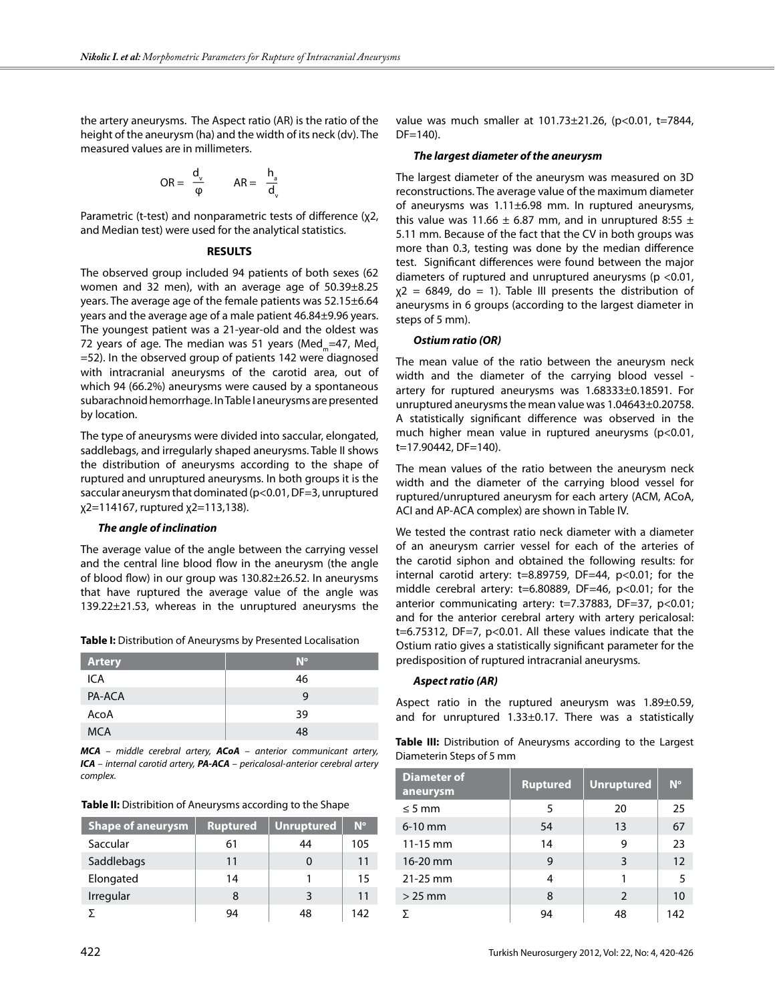the artery aneurysms. The Aspect ratio (AR) is the ratio of the height of the aneurysm (ha) and the width of its neck (dv). The measured values are in millimeters.

$$
OR = \frac{d_v}{\phi} \qquad AR = \frac{h_a}{d_v}
$$

Parametric (t-test) and nonparametric tests of difference (χ2, and Median test) were used for the analytical statistics.

#### **RESULTS**

The observed group included 94 patients of both sexes (62 women and 32 men), with an average age of 50.39±8.25 years. The average age of the female patients was 52.15±6.64 years and the average age of a male patient 46.84±9.96 years. The youngest patient was a 21-year-old and the oldest was 72 years of age. The median was 51 years (Med $_m=47$ , Med, =52). In the observed group of patients 142 were diagnosed with intracranial aneurysms of the carotid area, out of which 94 (66.2%) aneurysms were caused by a spontaneous subarachnoid hemorrhage. In Table I aneurysms are presented by location.

The type of aneurysms were divided into saccular, elongated, saddlebags, and irregularly shaped aneurysms. Table II shows the distribution of aneurysms according to the shape of ruptured and unruptured aneurysms. In both groups it is the saccular aneurysm that dominated (p<0.01, DF=3, unruptured χ2=114167, ruptured χ2=113,138).

#### *The angle of inclination*

The average value of the angle between the carrying vessel and the central line blood flow in the aneurysm (the angle of blood flow) in our group was 130.82±26.52. In aneurysms that have ruptured the average value of the angle was 139.22±21.53, whereas in the unruptured aneurysms the

| <b>Artery</b> | $N^{\circ}$ |
|---------------|-------------|
| ICA           | 46          |
| PA-ACA        | g           |
| AcoA          | 39          |
| <b>MCA</b>    | 48          |

*MCA – middle cerebral artery, ACoA – anterior communicant artery, ICA – internal carotid artery, PA-ACA – pericalosal-anterior cerebral artery complex.*

| Table II: Distribition of Aneurysms according to the Shape |  |
|------------------------------------------------------------|--|
|                                                            |  |

| <b>Shape of aneurysm</b> | <b>Ruptured</b> | <b>Unruptured</b> | $N^{\circ}$ |
|--------------------------|-----------------|-------------------|-------------|
| Saccular                 | 61              | 44                | 105         |
| Saddlebags               | 11              |                   | 11          |
| Elongated                | 14              |                   | 15          |
| Irregular                | 8               | २                 | 11          |
|                          | 94              | 48                | 142         |

value was much smaller at 101.73±21.26, (p<0.01, t=7844, DF=140).

#### *The largest diameter of the aneurysm*

The largest diameter of the aneurysm was measured on 3D reconstructions. The average value of the maximum diameter of aneurysms was 1.11±6.98 mm. In ruptured aneurysms, this value was 11.66  $\pm$  6.87 mm, and in unruptured 8:55  $\pm$ 5.11 mm. Because of the fact that the CV in both groups was more than 0.3, testing was done by the median difference test. Significant differences were found between the major diameters of ruptured and unruptured aneurysms (p <0.01,  $x^2 = 6849$ , do = 1). Table III presents the distribution of aneurysms in 6 groups (according to the largest diameter in steps of 5 mm).

#### *Ostium ratio (OR)*

The mean value of the ratio between the aneurysm neck width and the diameter of the carrying blood vessel artery for ruptured aneurysms was 1.68333±0.18591. For unruptured aneurysms the mean value was 1.04643±0.20758. A statistically significant difference was observed in the much higher mean value in ruptured aneurysms (p<0.01, t=17.90442, DF=140).

The mean values of the ratio between the aneurysm neck width and the diameter of the carrying blood vessel for ruptured/unruptured aneurysm for each artery (ACM, ACoA, ACI and AP-ACA complex) are shown in Table IV.

We tested the contrast ratio neck diameter with a diameter of an aneurysm carrier vessel for each of the arteries of the carotid siphon and obtained the following results: for internal carotid artery:  $t=8.89759$ , DF=44,  $p<0.01$ ; for the middle cerebral artery: t=6.80889, DF=46, p<0.01; for the anterior communicating artery: t=7.37883, DF=37, p<0.01; and for the anterior cerebral artery with artery pericalosal: t=6.75312, DF=7, p<0.01. All these values indicate that the Ostium ratio gives a statistically significant parameter for the predisposition of ruptured intracranial aneurysms.

### *Aspect ratio (AR)*

Aspect ratio in the ruptured aneurysm was 1.89±0.59, and for unruptured 1.33±0.17. There was a statistically

**Table III:** Distribution of Aneurysms according to the Largest Diameterin Steps of 5 mm

| <b>Diameter of</b><br>aneurysm | <b>Ruptured</b> | <b>Unruptured</b> | $N^{\circ}$ |
|--------------------------------|-----------------|-------------------|-------------|
| $\leq$ 5 mm                    | 5               | 20                | 25          |
| $6-10$ mm                      | 54              | 13                | 67          |
| $11 - 15$ mm                   | 14              | 9                 | 23          |
| 16-20 mm                       | 9               | 3                 | 12          |
| $21 - 25$ mm                   | 4               |                   | 5           |
| $>25$ mm                       | 8               | $\mathcal{P}$     | 10          |
| ᢌ                              | 94              | 48                | 142         |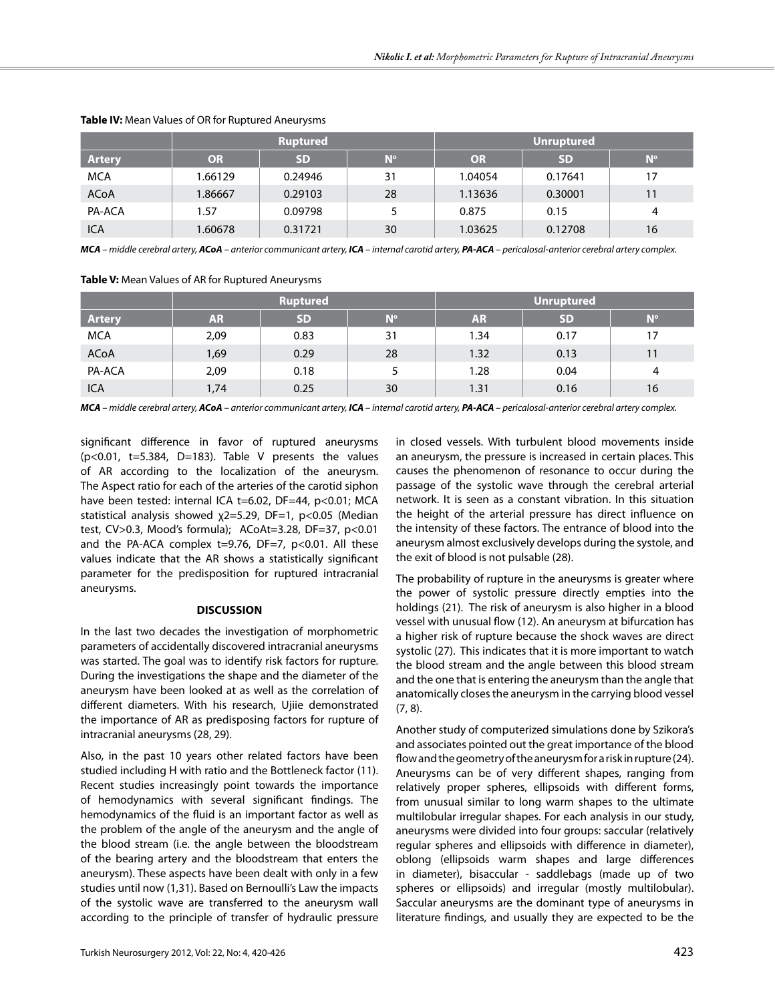|               | <b>Ruptured</b> |           | Unruptured  |           |           |             |
|---------------|-----------------|-----------|-------------|-----------|-----------|-------------|
| <b>Artery</b> | <b>OR</b>       | <b>SD</b> | $N^{\circ}$ | <b>OR</b> | <b>SD</b> | $N^{\circ}$ |
| <b>MCA</b>    | 66129.ا         | 0.24946   | 31          | 1.04054   | 0.17641   | 17          |
| <b>ACoA</b>   | 1.86667         | 0.29103   | 28          | 1.13636   | 0.30001   | 11          |
| PA-ACA        | 1.57            | 0.09798   | 5           | 0.875     | 0.15      | 4           |
| <b>ICA</b>    | 1.60678         | 0.31721   | 30          | 1.03625   | 0.12708   | 16          |

# **Table IV:** Mean Values of OR for Ruptured Aneurysms

*MCA – middle cerebral artery, ACoA – anterior communicant artery, ICA – internal carotid artery, PA-ACA – pericalosal-anterior cerebral artery complex.*

**Table V:** Mean Values of AR for Ruptured Aneurysms

|               | <b>Ruptured</b> |           |             | <b>Unruptured</b> |           |             |
|---------------|-----------------|-----------|-------------|-------------------|-----------|-------------|
| <b>Artery</b> | <b>AR</b>       | <b>SD</b> | $N^{\circ}$ | <b>AR</b>         | <b>SD</b> | $N^{\circ}$ |
| <b>MCA</b>    | 2,09            | 0.83      | 31          | 1.34              | 0.17      | 17          |
| ACoA          | 1,69            | 0.29      | 28          | 1.32              | 0.13      | 11          |
| PA-ACA        | 2,09            | 0.18      |             | 1.28              | 0.04      | 4           |
| <b>ICA</b>    | 1,74            | 0.25      | 30          | 1.31              | 0.16      | 16          |

*MCA – middle cerebral artery, ACoA – anterior communicant artery, ICA – internal carotid artery, PA-ACA – pericalosal-anterior cerebral artery complex.*

significant difference in favor of ruptured aneurysms  $(p<0.01, t=5.384, D=183)$ . Table V presents the values of AR according to the localization of the aneurysm. The Aspect ratio for each of the arteries of the carotid siphon have been tested: internal ICA t=6.02, DF=44, p<0.01; MCA statistical analysis showed χ2=5.29, DF=1, p<0.05 (Median test, CV>0.3, Mood's formula); ACoAt=3.28, DF=37, p<0.01 and the PA-ACA complex  $t=9.76$ , DF=7, p<0.01. All these values indicate that the AR shows a statistically significant parameter for the predisposition for ruptured intracranial aneurysms.

## **DISCUSSION**

In the last two decades the investigation of morphometric parameters of accidentally discovered intracranial aneurysms was started. The goal was to identify risk factors for rupture. During the investigations the shape and the diameter of the aneurysm have been looked at as well as the correlation of different diameters. With his research, Ujiie demonstrated the importance of AR as predisposing factors for rupture of intracranial aneurysms (28, 29).

Also, in the past 10 years other related factors have been studied including H with ratio and the Bottleneck factor (11). Recent studies increasingly point towards the importance of hemodynamics with several significant findings. The hemodynamics of the fluid is an important factor as well as the problem of the angle of the aneurysm and the angle of the blood stream (i.e. the angle between the bloodstream of the bearing artery and the bloodstream that enters the aneurysm). These aspects have been dealt with only in a few studies until now (1,31). Based on Bernoulli's Law the impacts of the systolic wave are transferred to the aneurysm wall according to the principle of transfer of hydraulic pressure

in closed vessels. With turbulent blood movements inside an aneurysm, the pressure is increased in certain places. This causes the phenomenon of resonance to occur during the passage of the systolic wave through the cerebral arterial network. It is seen as a constant vibration. In this situation the height of the arterial pressure has direct influence on the intensity of these factors. The entrance of blood into the aneurysm almost exclusively develops during the systole, and the exit of blood is not pulsable (28).

The probability of rupture in the aneurysms is greater where the power of systolic pressure directly empties into the holdings (21). The risk of aneurysm is also higher in a blood vessel with unusual flow (12). An aneurysm at bifurcation has a higher risk of rupture because the shock waves are direct systolic (27). This indicates that it is more important to watch the blood stream and the angle between this blood stream and the one that is entering the aneurysm than the angle that anatomically closes the aneurysm in the carrying blood vessel (7, 8).

Another study of computerized simulations done by Szikora's and associates pointed out the great importance of the blood flow and the geometry of the aneurysm for a risk in rupture (24). Aneurysms can be of very different shapes, ranging from relatively proper spheres, ellipsoids with different forms, from unusual similar to long warm shapes to the ultimate multilobular irregular shapes. For each analysis in our study, aneurysms were divided into four groups: saccular (relatively regular spheres and ellipsoids with difference in diameter), oblong (ellipsoids warm shapes and large differences in diameter), bisaccular - saddlebags (made up of two spheres or ellipsoids) and irregular (mostly multilobular). Saccular aneurysms are the dominant type of aneurysms in literature findings, and usually they are expected to be the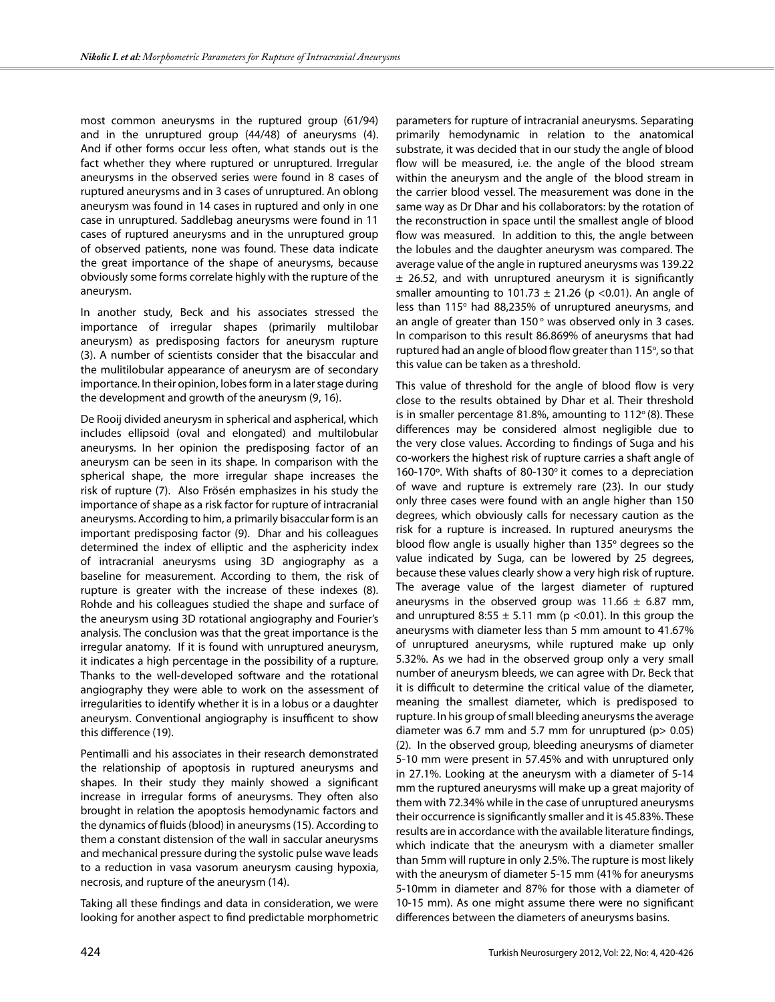most common aneurysms in the ruptured group (61/94) and in the unruptured group (44/48) of aneurysms (4). And if other forms occur less often, what stands out is the fact whether they where ruptured or unruptured. Irregular aneurysms in the observed series were found in 8 cases of ruptured aneurysms and in 3 cases of unruptured. An oblong aneurysm was found in 14 cases in ruptured and only in one case in unruptured. Saddlebag aneurysms were found in 11 cases of ruptured aneurysms and in the unruptured group of observed patients, none was found. These data indicate the great importance of the shape of aneurysms, because obviously some forms correlate highly with the rupture of the aneurysm.

In another study, Beck and his associates stressed the importance of irregular shapes (primarily multilobar aneurysm) as predisposing factors for aneurysm rupture (3). A number of scientists consider that the bisaccular and the mulitilobular appearance of aneurysm are of secondary importance. In their opinion, lobes form in a later stage during the development and growth of the aneurysm (9, 16).

De Rooij divided aneurysm in spherical and aspherical, which includes ellipsoid (oval and elongated) and multilobular aneurysms. In her opinion the predisposing factor of an aneurysm can be seen in its shape. In comparison with the spherical shape, the more irregular shape increases the risk of rupture (7). Also Frösén emphasizes in his study the importance of shape as a risk factor for rupture of intracranial aneurysms. According to him, a primarily bisaccular form is an important predisposing factor (9). Dhar and his colleagues determined the index of elliptic and the asphericity index of intracranial aneurysms using 3D angiography as a baseline for measurement. According to them, the risk of rupture is greater with the increase of these indexes (8). Rohde and his colleagues studied the shape and surface of the aneurysm using 3D rotational angiography and Fourier's analysis. The conclusion was that the great importance is the irregular anatomy. If it is found with unruptured aneurysm, it indicates a high percentage in the possibility of a rupture. Thanks to the well-developed software and the rotational angiography they were able to work on the assessment of irregularities to identify whether it is in a lobus or a daughter aneurysm. Conventional angiography is insufficent to show this difference (19).

Pentimalli and his associates in their research demonstrated the relationship of apoptosis in ruptured aneurysms and shapes. In their study they mainly showed a significant increase in irregular forms of aneurysms. They often also brought in relation the apoptosis hemodynamic factors and the dynamics of fluids (blood) in aneurysms (15). According to them a constant distension of the wall in saccular aneurysms and mechanical pressure during the systolic pulse wave leads to a reduction in vasa vasorum aneurysm causing hypoxia, necrosis, and rupture of the aneurysm (14).

Taking all these findings and data in consideration, we were looking for another aspect to find predictable morphometric

parameters for rupture of intracranial aneurysms. Separating primarily hemodynamic in relation to the anatomical substrate, it was decided that in our study the angle of blood flow will be measured, i.e. the angle of the blood stream within the aneurysm and the angle of the blood stream in the carrier blood vessel. The measurement was done in the same way as Dr Dhar and his collaborators: by the rotation of the reconstruction in space until the smallest angle of blood flow was measured. In addition to this, the angle between the lobules and the daughter aneurysm was compared. The average value of the angle in ruptured aneurysms was 139.22  $\pm$  26.52, and with unruptured aneurysm it is significantly smaller amounting to 101.73  $\pm$  21.26 (p < 0.01). An angle of less than 115° had 88,235% of unruptured aneurysms, and an angle of greater than  $150^{\circ}$  was observed only in 3 cases. In comparison to this result 86.869% of aneurysms that had ruptured had an angle of blood flow greater than 115°, so that this value can be taken as a threshold.

This value of threshold for the angle of blood flow is very close to the results obtained by Dhar et al. Their threshold is in smaller percentage 81.8%, amounting to  $112^{\circ}$  (8). These differences may be considered almost negligible due to the very close values. According to findings of Suga and his co-workers the highest risk of rupture carries a shaft angle of 160-170 $^{\circ}$ . With shafts of 80-130 $^{\circ}$  it comes to a depreciation of wave and rupture is extremely rare (23). In our study only three cases were found with an angle higher than 150 degrees, which obviously calls for necessary caution as the risk for a rupture is increased. In ruptured aneurysms the blood flow angle is usually higher than  $135^\circ$  degrees so the value indicated by Suga, can be lowered by 25 degrees, because these values clearly show a very high risk of rupture. The average value of the largest diameter of ruptured aneurysms in the observed group was  $11.66 \pm 6.87$  mm, and unruptured 8:55  $\pm$  5.11 mm (p <0.01). In this group the aneurysms with diameter less than 5 mm amount to 41.67% of unruptured aneurysms, while ruptured make up only 5.32%. As we had in the observed group only a very small number of aneurysm bleeds, we can agree with Dr. Beck that it is difficult to determine the critical value of the diameter, meaning the smallest diameter, which is predisposed to rupture. In his group of small bleeding aneurysms the average diameter was 6.7 mm and 5.7 mm for unruptured ( $p$  > 0.05) (2). In the observed group, bleeding aneurysms of diameter 5-10 mm were present in 57.45% and with unruptured only in 27.1%. Looking at the aneurysm with a diameter of 5-14 mm the ruptured aneurysms will make up a great majority of them with 72.34% while in the case of unruptured aneurysms their occurrence is significantly smaller and it is 45.83%. These results are in accordance with the available literature findings, which indicate that the aneurysm with a diameter smaller than 5mm will rupture in only 2.5%. The rupture is most likely with the aneurysm of diameter 5-15 mm (41% for aneurysms 5-10mm in diameter and 87% for those with a diameter of 10-15 mm). As one might assume there were no significant differences between the diameters of aneurysms basins.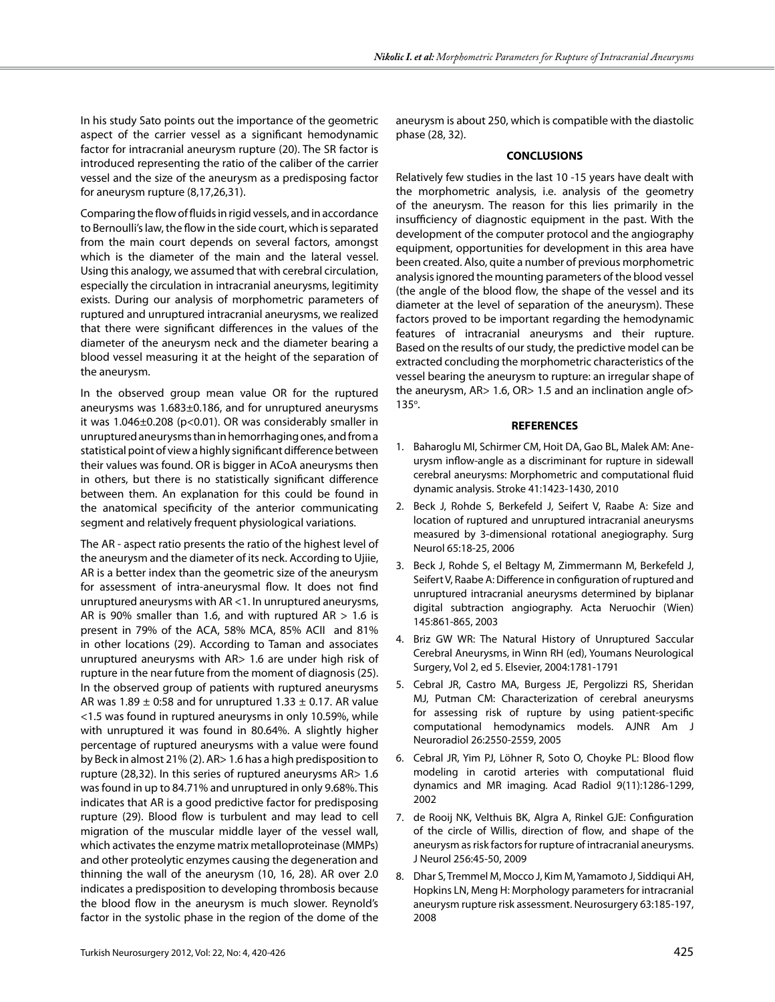In his study Sato points out the importance of the geometric aspect of the carrier vessel as a significant hemodynamic factor for intracranial aneurysm rupture (20). The SR factor is introduced representing the ratio of the caliber of the carrier vessel and the size of the aneurysm as a predisposing factor for aneurysm rupture (8,17,26,31).

Comparing the flow of fluids in rigid vessels, and in accordance to Bernoulli's law, the flow in the side court, which is separated from the main court depends on several factors, amongst which is the diameter of the main and the lateral vessel. Using this analogy, we assumed that with cerebral circulation, especially the circulation in intracranial aneurysms, legitimity exists. During our analysis of morphometric parameters of ruptured and unruptured intracranial aneurysms, we realized that there were significant differences in the values of the diameter of the aneurysm neck and the diameter bearing a blood vessel measuring it at the height of the separation of the aneurysm.

In the observed group mean value OR for the ruptured aneurysms was 1.683±0.186, and for unruptured aneurysms it was  $1.046\pm0.208$  (p<0.01). OR was considerably smaller in unruptured aneurysms than in hemorrhaging ones, and from a statistical point of view a highly significant difference between their values was found. OR is bigger in ACoA aneurysms then in others, but there is no statistically significant difference between them. An explanation for this could be found in the anatomical specificity of the anterior communicating segment and relatively frequent physiological variations.

The AR - aspect ratio presents the ratio of the highest level of the aneurysm and the diameter of its neck. According to Ujiie, AR is a better index than the geometric size of the aneurysm for assessment of intra-aneurysmal flow. It does not find unruptured aneurysms with AR <1. In unruptured aneurysms, AR is 90% smaller than 1.6, and with ruptured  $AR > 1.6$  is present in 79% of the ACA, 58% MCA, 85% ACII and 81% in other locations (29). According to Taman and associates unruptured aneurysms with AR> 1.6 are under high risk of rupture in the near future from the moment of diagnosis (25). In the observed group of patients with ruptured aneurysms AR was 1.89  $\pm$  0:58 and for unruptured 1.33  $\pm$  0.17. AR value <1.5 was found in ruptured aneurysms in only 10.59%, while with unruptured it was found in 80.64%. A slightly higher percentage of ruptured aneurysms with a value were found by Beck in almost 21% (2). AR> 1.6 has a high predisposition to rupture (28,32). In this series of ruptured aneurysms AR> 1.6 was found in up to 84.71% and unruptured in only 9.68%. This indicates that AR is a good predictive factor for predisposing rupture (29). Blood flow is turbulent and may lead to cell migration of the muscular middle layer of the vessel wall, which activates the enzyme matrix metalloproteinase (MMPs) and other proteolytic enzymes causing the degeneration and thinning the wall of the aneurysm (10, 16, 28). AR over 2.0 indicates a predisposition to developing thrombosis because the blood flow in the aneurysm is much slower. Reynold's factor in the systolic phase in the region of the dome of the

aneurysm is about 250, which is compatible with the diastolic phase (28, 32).

#### **CONCLUSIONS**

Relatively few studies in the last 10 -15 years have dealt with the morphometric analysis, i.e. analysis of the geometry of the aneurysm. The reason for this lies primarily in the insufficiency of diagnostic equipment in the past. With the development of the computer protocol and the angiography equipment, opportunities for development in this area have been created. Also, quite a number of previous morphometric analysis ignored the mounting parameters of the blood vessel (the angle of the blood flow, the shape of the vessel and its diameter at the level of separation of the aneurysm). These factors proved to be important regarding the hemodynamic features of intracranial aneurysms and their rupture. Based on the results of our study, the predictive model can be extracted concluding the morphometric characteristics of the vessel bearing the aneurysm to rupture: an irregular shape of the aneurysm, AR> 1.6, OR> 1.5 and an inclination angle of> 135°.

#### **REFERENCES**

- 1. Baharoglu MI, Schirmer CM, Hoit DA, Gao BL, Malek AM: Aneurysm inflow-angle as a discriminant for rupture in sidewall cerebral aneurysms: Morphometric and computational fluid dynamic analysis. Stroke 41:1423-1430, 2010
- 2. Beck J, Rohde S, Berkefeld J, Seifert V, Raabe A: Size and location of ruptured and unruptured intracranial aneurysms measured by 3-dimensional rotational anegiography. Surg Neurol 65:18-25, 2006
- 3. Beck J, Rohde S, el Beltagy M, Zimmermann M, Berkefeld J, Seifert V, Raabe A: Difference in configuration of ruptured and unruptured intracranial aneurysms determined by biplanar digital subtraction angiography. Acta Neruochir (Wien) 145:861-865, 2003
- 4. Briz GW WR: The Natural History of Unruptured Saccular Cerebral Aneurysms, in Winn RH (ed), Youmans Neurological Surgery, Vol 2, ed 5. Elsevier, 2004:1781-1791
- 5. Cebral JR, Castro MA, Burgess JE, Pergolizzi RS, Sheridan MJ, Putman CM: Characterization of cerebral aneurysms for assessing risk of rupture by using patient-specific computational hemodynamics models. AJNR Am J Neuroradiol 26:2550-2559, 2005
- 6. Cebral JR, Yim PJ, Löhner R, Soto O, Choyke PL: Blood flow modeling in carotid arteries with computational fluid dynamics and MR imaging. Acad Radiol 9(11):1286-1299, 2002
- 7. de Rooij NK, Velthuis BK, Algra A, Rinkel GJE: Configuration of the circle of Willis, direction of flow, and shape of the aneurysm as risk factors for rupture of intracranial aneurysms. J Neurol 256:45-50, 2009
- 8. Dhar S, Tremmel M, Mocco J, Kim M, Yamamoto J, Siddiqui AH, Hopkins LN, Meng H: Morphology parameters for intracranial aneurysm rupture risk assessment. Neurosurgery 63:185-197, 2008